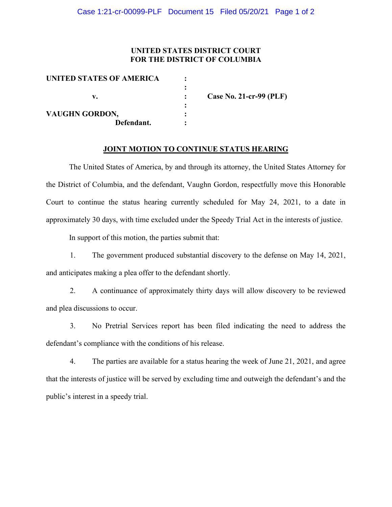#### **UNITED STATES DISTRICT COURT FOR THE DISTRICT OF COLUMBIA**

| UNITED STATES OF AMERICA |                         |
|--------------------------|-------------------------|
|                          |                         |
| v.                       | Case No. 21-cr-99 (PLF) |
|                          |                         |
| <b>VAUGHN GORDON,</b>    |                         |
| Defendant.               |                         |

#### **JOINT MOTION TO CONTINUE STATUS HEARING**

The United States of America, by and through its attorney, the United States Attorney for the District of Columbia, and the defendant, Vaughn Gordon, respectfully move this Honorable Court to continue the status hearing currently scheduled for May 24, 2021, to a date in approximately 30 days, with time excluded under the Speedy Trial Act in the interests of justice.

In support of this motion, the parties submit that:

1. The government produced substantial discovery to the defense on May 14, 2021, and anticipates making a plea offer to the defendant shortly.

2. A continuance of approximately thirty days will allow discovery to be reviewed and plea discussions to occur.

3. No Pretrial Services report has been filed indicating the need to address the defendant's compliance with the conditions of his release.

4. The parties are available for a status hearing the week of June 21, 2021, and agree that the interests of justice will be served by excluding time and outweigh the defendant's and the public's interest in a speedy trial.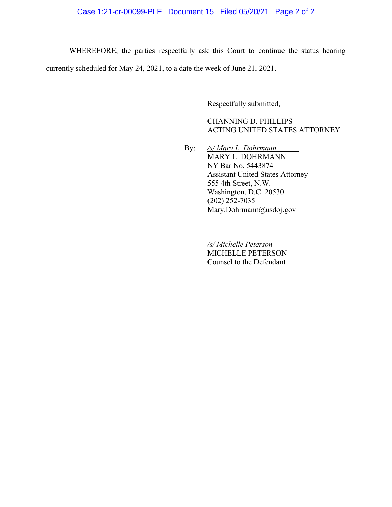# Case 1:21-cr-00099-PLF Document 15 Filed 05/20/21 Page 2 of 2

WHEREFORE, the parties respectfully ask this Court to continue the status hearing currently scheduled for May 24, 2021, to a date the week of June 21, 2021.

Respectfully submitted,

CHANNING D. PHILLIPS ACTING UNITED STATES ATTORNEY

By: */s/ Mary L. Dohrmann* MARY L. DOHRMANN NY Bar No. 5443874 Assistant United States Attorney 555 4th Street, N.W. Washington, D.C. 20530 (202) 252-7035 Mary.Dohrmann@usdoj.gov

> */s/ Michelle Peterson* MICHELLE PETERSON Counsel to the Defendant